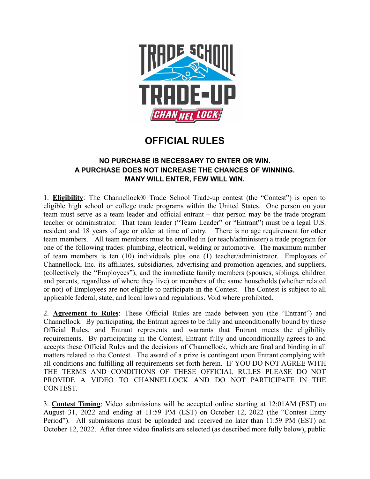

## **OFFICIAL RULES**

## **NO PURCHASE IS NECESSARY TO ENTER OR WIN. A PURCHASE DOES NOT INCREASE THE CHANCES OF WINNING. MANY WILL ENTER, FEW WILL WIN.**

1. **Eligibility**: The Channellock® Trade School Trade-up contest (the "Contest") is open to eligible high school or college trade programs within the United States. One person on your team must serve as a team leader and official entrant – that person may be the trade program teacher or administrator. That team leader ("Team Leader" or "Entrant") must be a legal U.S. resident and 18 years of age or older at time of entry. There is no age requirement for other team members. All team members must be enrolled in (or teach/administer) a trade program for one of the following trades: plumbing, electrical, welding or automotive. The maximum number of team members is ten (10) individuals plus one (1) teacher/administrator. Employees of Channellock, Inc. its affiliates, subsidiaries, advertising and promotion agencies, and suppliers, (collectively the "Employees"), and the immediate family members (spouses, siblings, children and parents, regardless of where they live) or members of the same households (whether related or not) of Employees are not eligible to participate in the Contest. The Contest is subject to all applicable federal, state, and local laws and regulations. Void where prohibited.

2. **Agreement to Rules**: These Official Rules are made between you (the "Entrant") and Channellock. By participating, the Entrant agrees to be fully and unconditionally bound by these Official Rules, and Entrant represents and warrants that Entrant meets the eligibility requirements. By participating in the Contest, Entrant fully and unconditionally agrees to and accepts these Official Rules and the decisions of Channellock, which are final and binding in all matters related to the Contest. The award of a prize is contingent upon Entrant complying with all conditions and fulfilling all requirements set forth herein. IF YOU DO NOT AGREE WITH THE TERMS AND CONDITIONS OF THESE OFFICIAL RULES PLEASE DO NOT PROVIDE A VIDEO TO CHANNELLOCK AND DO NOT PARTICIPATE IN THE CONTEST.

3. **Contest Timing**: Video submissions will be accepted online starting at 12:01AM (EST) on August 31, 2022 and ending at 11:59 PM (EST) on October 12, 2022 (the "Contest Entry Period"). All submissions must be uploaded and received no later than 11:59 PM (EST) on October 12, 2022. After three video finalists are selected (as described more fully below), public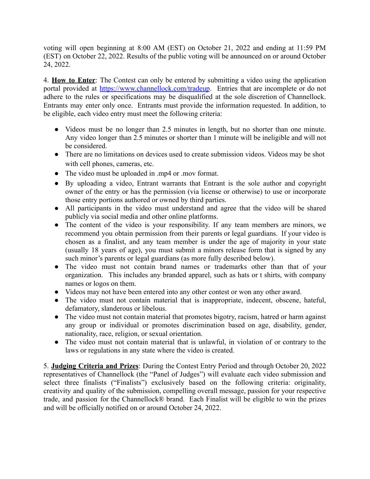voting will open beginning at 8:00 AM (EST) on October 21, 2022 and ending at 11:59 PM (EST) on October 22, 2022. Results of the public voting will be announced on or around October 24, 2022.

4. **How to Enter**: The Contest can only be entered by submitting a video using the application portal provided at <https://www.channellock.com/tradeup>. Entries that are incomplete or do not adhere to the rules or specifications may be disqualified at the sole discretion of Channellock. Entrants may enter only once. Entrants must provide the information requested. In addition, to be eligible, each video entry must meet the following criteria:

- Videos must be no longer than 2.5 minutes in length, but no shorter than one minute. Any video longer than 2.5 minutes or shorter than 1 minute will be ineligible and will not be considered.
- There are no limitations on devices used to create submission videos. Videos may be shot with cell phones, cameras, etc.
- The video must be uploaded in .mp4 or .mov format.
- By uploading a video, Entrant warrants that Entrant is the sole author and copyright owner of the entry or has the permission (via license or otherwise) to use or incorporate those entry portions authored or owned by third parties.
- **●** All participants in the video must understand and agree that the video will be shared publicly via social media and other online platforms.
- **●** The content of the video is your responsibility. If any team members are minors, we recommend you obtain permission from their parents or legal guardians. If your video is chosen as a finalist, and any team member is under the age of majority in your state (usually 18 years of age), you must submit a minors release form that is signed by any such minor's parents or legal guardians (as more fully described below).
- The video must not contain brand names or trademarks other than that of your organization. This includes any branded apparel, such as hats or t shirts, with company names or logos on them.
- Videos may not have been entered into any other contest or won any other award.
- The video must not contain material that is inappropriate, indecent, obscene, hateful, defamatory, slanderous or libelous.
- The video must not contain material that promotes bigotry, racism, hatred or harm against any group or individual or promotes discrimination based on age, disability, gender, nationality, race, religion, or sexual orientation.
- The video must not contain material that is unlawful, in violation of or contrary to the laws or regulations in any state where the video is created.

5. **Judging Criteria and Prizes**: During the Contest Entry Period and through October 20, 2022 representatives of Channellock (the "Panel of Judges") will evaluate each video submission and select three finalists ("Finalists") exclusively based on the following criteria: originality, creativity and quality of the submission, compelling overall message, passion for your respective trade, and passion for the Channellock® brand. Each Finalist will be eligible to win the prizes and will be officially notified on or around October 24, 2022.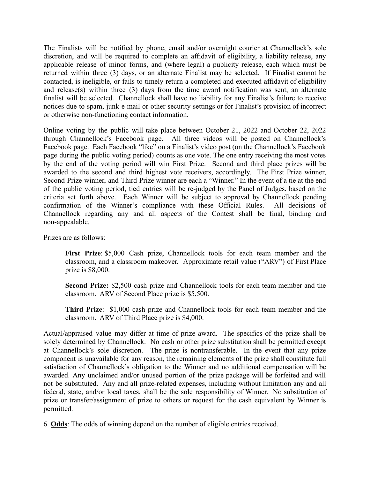The Finalists will be notified by phone, email and/or overnight courier at Channellock's sole discretion, and will be required to complete an affidavit of eligibility, a liability release, any applicable release of minor forms, and (where legal) a publicity release, each which must be returned within three (3) days, or an alternate Finalist may be selected. If Finalist cannot be contacted, is ineligible, or fails to timely return a completed and executed affidavit of eligibility and release(s) within three (3) days from the time award notification was sent, an alternate finalist will be selected. Channellock shall have no liability for any Finalist's failure to receive notices due to spam, junk e-mail or other security settings or for Finalist's provision of incorrect or otherwise non-functioning contact information.

Online voting by the public will take place between October 21, 2022 and October 22, 2022 through Channellock's Facebook page. All three videos will be posted on Channellock's Facebook page. Each Facebook "like" on a Finalist's video post (on the Channellock's Facebook page during the public voting period) counts as one vote. The one entry receiving the most votes by the end of the voting period will win First Prize. Second and third place prizes will be awarded to the second and third highest vote receivers, accordingly. The First Prize winner, Second Prize winner, and Third Prize winner are each a "Winner." In the event of a tie at the end of the public voting period, tied entries will be re-judged by the Panel of Judges, based on the criteria set forth above. Each Winner will be subject to approval by Channellock pending confirmation of the Winner's compliance with these Official Rules. All decisions of Channellock regarding any and all aspects of the Contest shall be final, binding and non-appealable.

Prizes are as follows:

**First Prize**: \$5,000 Cash prize, Channellock tools for each team member and the classroom, and a classroom makeover. Approximate retail value ("ARV") of First Place prize is \$8,000.

**Second Prize:** \$2,500 cash prize and Channellock tools for each team member and the classroom. ARV of Second Place prize is \$5,500.

**Third Prize**: \$1,000 cash prize and Channellock tools for each team member and the classroom. ARV of Third Place prize is \$4,000.

Actual/appraised value may differ at time of prize award. The specifics of the prize shall be solely determined by Channellock. No cash or other prize substitution shall be permitted except at Channellock's sole discretion. The prize is nontransferable. In the event that any prize component is unavailable for any reason, the remaining elements of the prize shall constitute full satisfaction of Channellock's obligation to the Winner and no additional compensation will be awarded. Any unclaimed and/or unused portion of the prize package will be forfeited and will not be substituted. Any and all prize-related expenses, including without limitation any and all federal, state, and/or local taxes, shall be the sole responsibility of Winner. No substitution of prize or transfer/assignment of prize to others or request for the cash equivalent by Winner is permitted.

6. **Odds**: The odds of winning depend on the number of eligible entries received.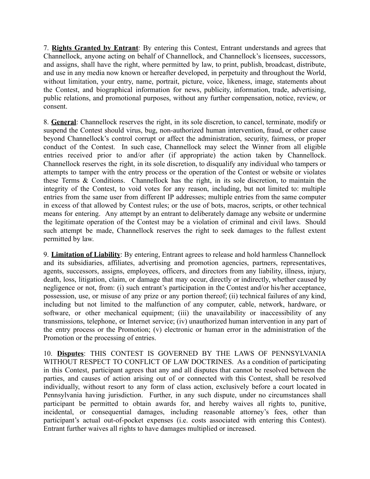7. **Rights Granted by Entrant**: By entering this Contest, Entrant understands and agrees that Channellock, anyone acting on behalf of Channellock, and Channellock's licensees, successors, and assigns, shall have the right, where permitted by law, to print, publish, broadcast, distribute, and use in any media now known or hereafter developed, in perpetuity and throughout the World, without limitation, your entry, name, portrait, picture, voice, likeness, image, statements about the Contest, and biographical information for news, publicity, information, trade, advertising, public relations, and promotional purposes, without any further compensation, notice, review, or consent.

8. **General**: Channellock reserves the right, in its sole discretion, to cancel, terminate, modify or suspend the Contest should virus, bug, non-authorized human intervention, fraud, or other cause beyond Channellock's control corrupt or affect the administration, security, fairness, or proper conduct of the Contest. In such case, Channellock may select the Winner from all eligible entries received prior to and/or after (if appropriate) the action taken by Channellock. Channellock reserves the right, in its sole discretion, to disqualify any individual who tampers or attempts to tamper with the entry process or the operation of the Contest or website or violates these Terms & Conditions. Channellock has the right, in its sole discretion, to maintain the integrity of the Contest, to void votes for any reason, including, but not limited to: multiple entries from the same user from different IP addresses; multiple entries from the same computer in excess of that allowed by Contest rules; or the use of bots, macros, scripts, or other technical means for entering. Any attempt by an entrant to deliberately damage any website or undermine the legitimate operation of the Contest may be a violation of criminal and civil laws. Should such attempt be made, Channellock reserves the right to seek damages to the fullest extent permitted by law.

9. **Limitation of Liability**: By entering, Entrant agrees to release and hold harmless Channellock and its subsidiaries, affiliates, advertising and promotion agencies, partners, representatives, agents, successors, assigns, employees, officers, and directors from any liability, illness, injury, death, loss, litigation, claim, or damage that may occur, directly or indirectly, whether caused by negligence or not, from: (i) such entrant's participation in the Contest and/or his/her acceptance, possession, use, or misuse of any prize or any portion thereof; (ii) technical failures of any kind, including but not limited to the malfunction of any computer, cable, network, hardware, or software, or other mechanical equipment; (iii) the unavailability or inaccessibility of any transmissions, telephone, or Internet service; (iv) unauthorized human intervention in any part of the entry process or the Promotion; (v) electronic or human error in the administration of the Promotion or the processing of entries.

10. **Disputes**: THIS CONTEST IS GOVERNED BY THE LAWS OF PENNSYLVANIA WITHOUT RESPECT TO CONFLICT OF LAW DOCTRINES. As a condition of participating in this Contest, participant agrees that any and all disputes that cannot be resolved between the parties, and causes of action arising out of or connected with this Contest, shall be resolved individually, without resort to any form of class action, exclusively before a court located in Pennsylvania having jurisdiction. Further, in any such dispute, under no circumstances shall participant be permitted to obtain awards for, and hereby waives all rights to, punitive, incidental, or consequential damages, including reasonable attorney's fees, other than participant's actual out-of-pocket expenses (i.e. costs associated with entering this Contest). Entrant further waives all rights to have damages multiplied or increased.